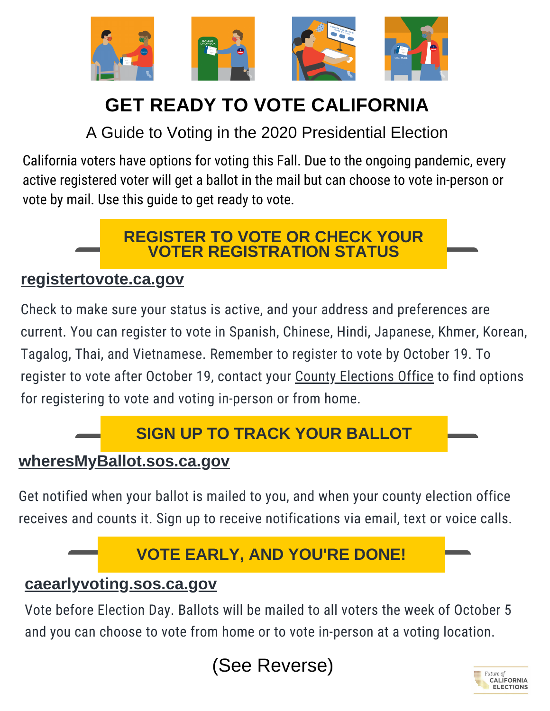

# **GET READY TO VOTE CALIFORNIA**

A Guide to Voting in the 2020 Presidential Election

California voters have options for voting this Fall. Due to the ongoing pandemic, every active registered voter will get a ballot in the mail but can choose to vote in-person or vote by mail. Use this guide to get ready to vote.

### **REGISTER TO VOTE OR CHECK YOUR VOTER REGISTRATION STATUS**

### **[registertovote.ca.gov](http://registertovote.ca.gov/)**

Check to make sure your status is active, and your address and preferences are current. You can register to vote in Spanish, Chinese, Hindi, Japanese, Khmer, Korean, Tagalog, Thai, and Vietnamese. Remember to register to vote by October 19. To register to vote after October 19, contact your County [Elections](https://www.sos.ca.gov/elections/voting-resources/county-elections-offices) Office to find options for registering to vote and voting in-person or from home.

# **SIGN UP TO TRACK YOUR BALLOT**

### **[wheresMyBallot.sos.ca.gov](https://california.ballottrax.net/voter/)**

Get notified when your ballot is mailed to you, and when your county election office receives and counts it. Sign up to receive notifications via email, text or voice calls.

# **VOTE EARLY, AND YOU'RE DONE!**

### **[caearlyvoting.sos.ca.gov](https://caearlyvoting.sos.ca.gov/)**

Vote before Election Day. Ballots will be mailed to all voters the week of October 5 and you can choose to vote from home or to vote in-person at a voting location.



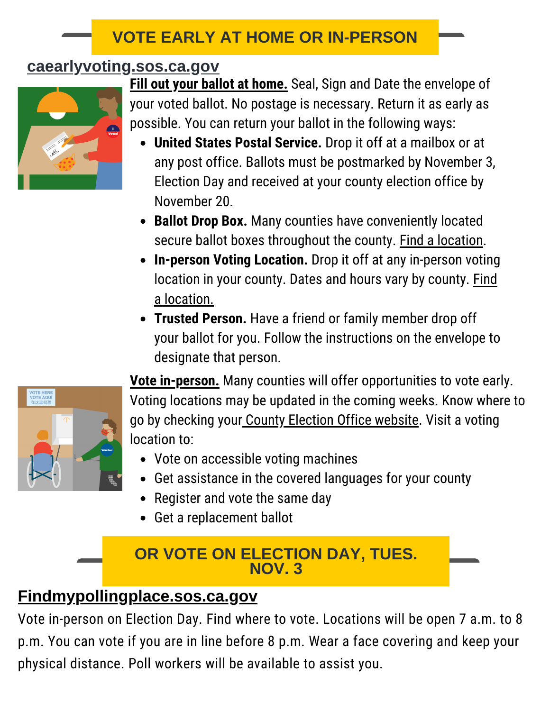### **VOTE EARLY AT HOME OR IN-PERSON**

## **[caearlyvoting.sos.ca.gov](https://caearlyvoting.sos.ca.gov/)**



**Fill out your ballot at home.** Seal, Sign and Date the envelope of your voted ballot. No postage is necessary. Return it as early as possible. You can return your ballot in the following ways:

- **United States Postal Service.** Drop it off at a mailbox or at any post office. Ballots must be postmarked by November 3, Election Day and received at your county election office by November 20.
- **Ballot Drop Box.** Many counties have conveniently located secure ballot boxes throughout the county. Find a [location.](https://caearlyvoting.sos.ca.gov/)
- **In-person Voting Location.** Drop it off at any in-person voting location in your county. Dates and hours vary by county. Find a [location.](https://caearlyvoting.sos.ca.gov/)
- **Trusted Person.** Have a friend or family member drop off your ballot for you. Follow the instructions on the envelope to designate that person.



**Vote in-person.** Many counties will offer opportunities to vote early. Voting locations may be updated in the coming weeks. Know where to go by checking your County [Election](https://www.sos.ca.gov/elections/voting-resources/county-elections-offices) Office website. Visit a voting location to:

- Vote on accessible voting machines
- Get assistance in the covered languages for your county
- Register and vote the same day
- Get a replacement ballot

### **OR VOTE ON ELECTION DAY, TUES. NOV. 3**

# **[Findmypollingplace.sos.ca.gov](https://www.sos.ca.gov/elections/polling-place/)**

Vote in-person on Election Day. Find where to vote. Locations will be open 7 a.m. to 8 p.m. You can vote if you are in line before 8 p.m. Wear a face covering and keep your physical distance. Poll workers will be available to assist you.